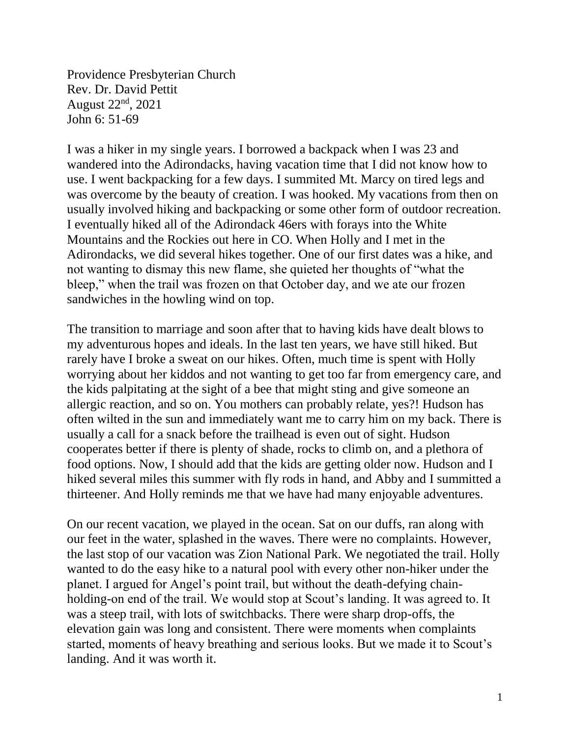Providence Presbyterian Church Rev. Dr. David Pettit August 22<sup>nd</sup>, 2021 John 6: 51-69

I was a hiker in my single years. I borrowed a backpack when I was 23 and wandered into the Adirondacks, having vacation time that I did not know how to use. I went backpacking for a few days. I summited Mt. Marcy on tired legs and was overcome by the beauty of creation. I was hooked. My vacations from then on usually involved hiking and backpacking or some other form of outdoor recreation. I eventually hiked all of the Adirondack 46ers with forays into the White Mountains and the Rockies out here in CO. When Holly and I met in the Adirondacks, we did several hikes together. One of our first dates was a hike, and not wanting to dismay this new flame, she quieted her thoughts of "what the bleep," when the trail was frozen on that October day, and we ate our frozen sandwiches in the howling wind on top.

The transition to marriage and soon after that to having kids have dealt blows to my adventurous hopes and ideals. In the last ten years, we have still hiked. But rarely have I broke a sweat on our hikes. Often, much time is spent with Holly worrying about her kiddos and not wanting to get too far from emergency care, and the kids palpitating at the sight of a bee that might sting and give someone an allergic reaction, and so on. You mothers can probably relate, yes?! Hudson has often wilted in the sun and immediately want me to carry him on my back. There is usually a call for a snack before the trailhead is even out of sight. Hudson cooperates better if there is plenty of shade, rocks to climb on, and a plethora of food options. Now, I should add that the kids are getting older now. Hudson and I hiked several miles this summer with fly rods in hand, and Abby and I summitted a thirteener. And Holly reminds me that we have had many enjoyable adventures.

On our recent vacation, we played in the ocean. Sat on our duffs, ran along with our feet in the water, splashed in the waves. There were no complaints. However, the last stop of our vacation was Zion National Park. We negotiated the trail. Holly wanted to do the easy hike to a natural pool with every other non-hiker under the planet. I argued for Angel's point trail, but without the death-defying chainholding-on end of the trail. We would stop at Scout's landing. It was agreed to. It was a steep trail, with lots of switchbacks. There were sharp drop-offs, the elevation gain was long and consistent. There were moments when complaints started, moments of heavy breathing and serious looks. But we made it to Scout's landing. And it was worth it.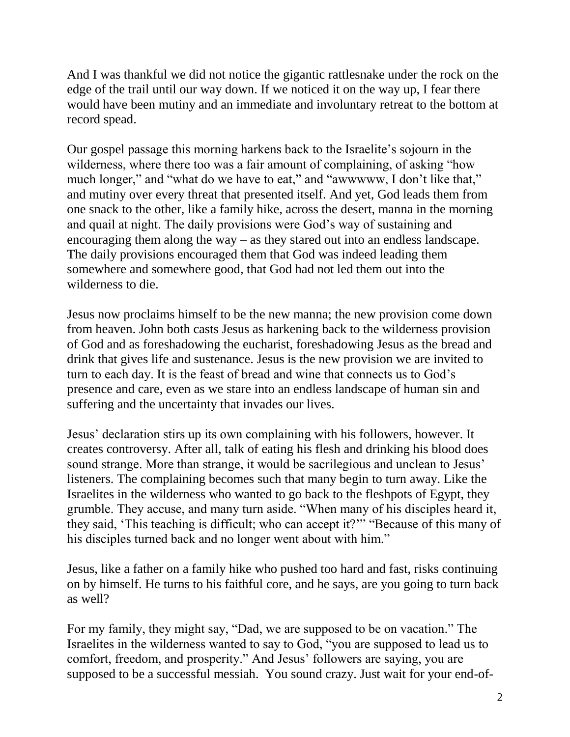And I was thankful we did not notice the gigantic rattlesnake under the rock on the edge of the trail until our way down. If we noticed it on the way up, I fear there would have been mutiny and an immediate and involuntary retreat to the bottom at record spead.

Our gospel passage this morning harkens back to the Israelite's sojourn in the wilderness, where there too was a fair amount of complaining, of asking "how much longer," and "what do we have to eat," and "awwwww, I don't like that," and mutiny over every threat that presented itself. And yet, God leads them from one snack to the other, like a family hike, across the desert, manna in the morning and quail at night. The daily provisions were God's way of sustaining and encouraging them along the way – as they stared out into an endless landscape. The daily provisions encouraged them that God was indeed leading them somewhere and somewhere good, that God had not led them out into the wilderness to die.

Jesus now proclaims himself to be the new manna; the new provision come down from heaven. John both casts Jesus as harkening back to the wilderness provision of God and as foreshadowing the eucharist, foreshadowing Jesus as the bread and drink that gives life and sustenance. Jesus is the new provision we are invited to turn to each day. It is the feast of bread and wine that connects us to God's presence and care, even as we stare into an endless landscape of human sin and suffering and the uncertainty that invades our lives.

Jesus' declaration stirs up its own complaining with his followers, however. It creates controversy. After all, talk of eating his flesh and drinking his blood does sound strange. More than strange, it would be sacrilegious and unclean to Jesus' listeners. The complaining becomes such that many begin to turn away. Like the Israelites in the wilderness who wanted to go back to the fleshpots of Egypt, they grumble. They accuse, and many turn aside. "When many of his disciples heard it, they said, 'This teaching is difficult; who can accept it?'" "Because of this many of his disciples turned back and no longer went about with him."

Jesus, like a father on a family hike who pushed too hard and fast, risks continuing on by himself. He turns to his faithful core, and he says, are you going to turn back as well?

For my family, they might say, "Dad, we are supposed to be on vacation." The Israelites in the wilderness wanted to say to God, "you are supposed to lead us to comfort, freedom, and prosperity." And Jesus' followers are saying, you are supposed to be a successful messiah. You sound crazy. Just wait for your end-of-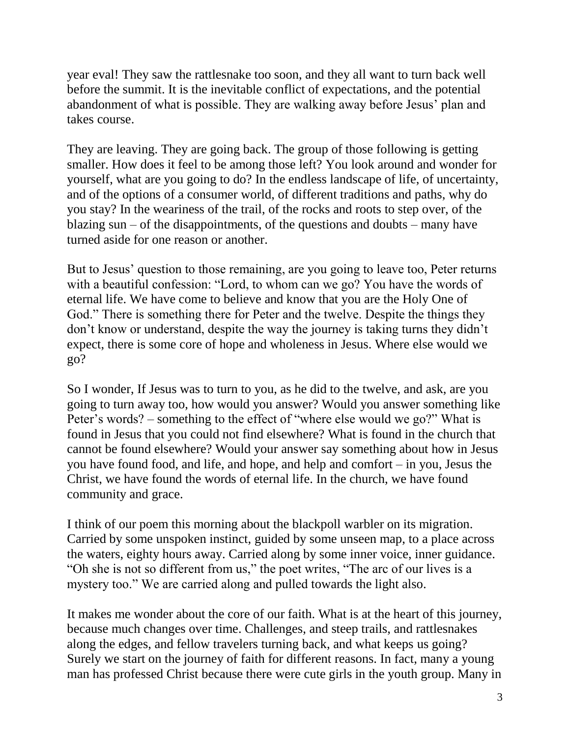year eval! They saw the rattlesnake too soon, and they all want to turn back well before the summit. It is the inevitable conflict of expectations, and the potential abandonment of what is possible. They are walking away before Jesus' plan and takes course.

They are leaving. They are going back. The group of those following is getting smaller. How does it feel to be among those left? You look around and wonder for yourself, what are you going to do? In the endless landscape of life, of uncertainty, and of the options of a consumer world, of different traditions and paths, why do you stay? In the weariness of the trail, of the rocks and roots to step over, of the blazing sun – of the disappointments, of the questions and doubts – many have turned aside for one reason or another.

But to Jesus' question to those remaining, are you going to leave too, Peter returns with a beautiful confession: "Lord, to whom can we go? You have the words of eternal life. We have come to believe and know that you are the Holy One of God." There is something there for Peter and the twelve. Despite the things they don't know or understand, despite the way the journey is taking turns they didn't expect, there is some core of hope and wholeness in Jesus. Where else would we go?

So I wonder, If Jesus was to turn to you, as he did to the twelve, and ask, are you going to turn away too, how would you answer? Would you answer something like Peter's words? – something to the effect of "where else would we go?" What is found in Jesus that you could not find elsewhere? What is found in the church that cannot be found elsewhere? Would your answer say something about how in Jesus you have found food, and life, and hope, and help and comfort – in you, Jesus the Christ, we have found the words of eternal life. In the church, we have found community and grace.

I think of our poem this morning about the blackpoll warbler on its migration. Carried by some unspoken instinct, guided by some unseen map, to a place across the waters, eighty hours away. Carried along by some inner voice, inner guidance. "Oh she is not so different from us," the poet writes, "The arc of our lives is a mystery too." We are carried along and pulled towards the light also.

It makes me wonder about the core of our faith. What is at the heart of this journey, because much changes over time. Challenges, and steep trails, and rattlesnakes along the edges, and fellow travelers turning back, and what keeps us going? Surely we start on the journey of faith for different reasons. In fact, many a young man has professed Christ because there were cute girls in the youth group. Many in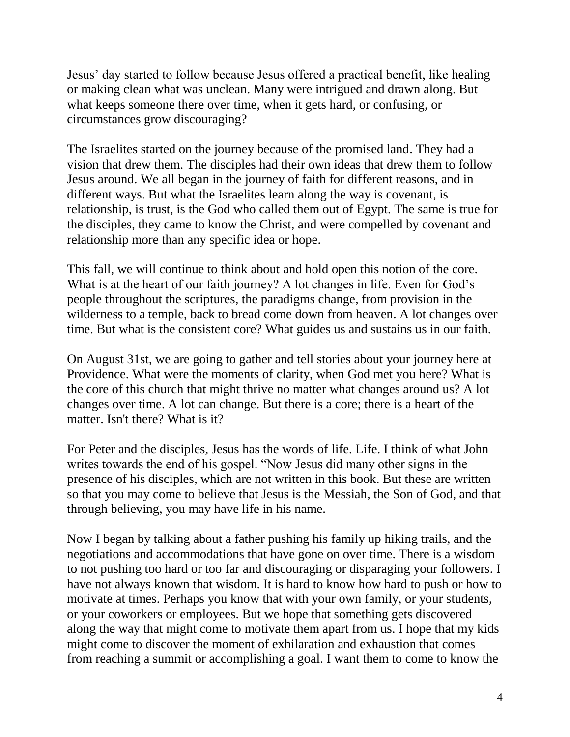Jesus' day started to follow because Jesus offered a practical benefit, like healing or making clean what was unclean. Many were intrigued and drawn along. But what keeps someone there over time, when it gets hard, or confusing, or circumstances grow discouraging?

The Israelites started on the journey because of the promised land. They had a vision that drew them. The disciples had their own ideas that drew them to follow Jesus around. We all began in the journey of faith for different reasons, and in different ways. But what the Israelites learn along the way is covenant, is relationship, is trust, is the God who called them out of Egypt. The same is true for the disciples, they came to know the Christ, and were compelled by covenant and relationship more than any specific idea or hope.

This fall, we will continue to think about and hold open this notion of the core. What is at the heart of our faith journey? A lot changes in life. Even for God's people throughout the scriptures, the paradigms change, from provision in the wilderness to a temple, back to bread come down from heaven. A lot changes over time. But what is the consistent core? What guides us and sustains us in our faith.

On August 31st, we are going to gather and tell stories about your journey here at Providence. What were the moments of clarity, when God met you here? What is the core of this church that might thrive no matter what changes around us? A lot changes over time. A lot can change. But there is a core; there is a heart of the matter. Isn't there? What is it?

For Peter and the disciples, Jesus has the words of life. Life. I think of what John writes towards the end of his gospel. "Now Jesus did many other signs in the presence of his disciples, which are not written in this book. But these are written so that you may come to believe that Jesus is the Messiah, the Son of God, and that through believing, you may have life in his name.

Now I began by talking about a father pushing his family up hiking trails, and the negotiations and accommodations that have gone on over time. There is a wisdom to not pushing too hard or too far and discouraging or disparaging your followers. I have not always known that wisdom. It is hard to know how hard to push or how to motivate at times. Perhaps you know that with your own family, or your students, or your coworkers or employees. But we hope that something gets discovered along the way that might come to motivate them apart from us. I hope that my kids might come to discover the moment of exhilaration and exhaustion that comes from reaching a summit or accomplishing a goal. I want them to come to know the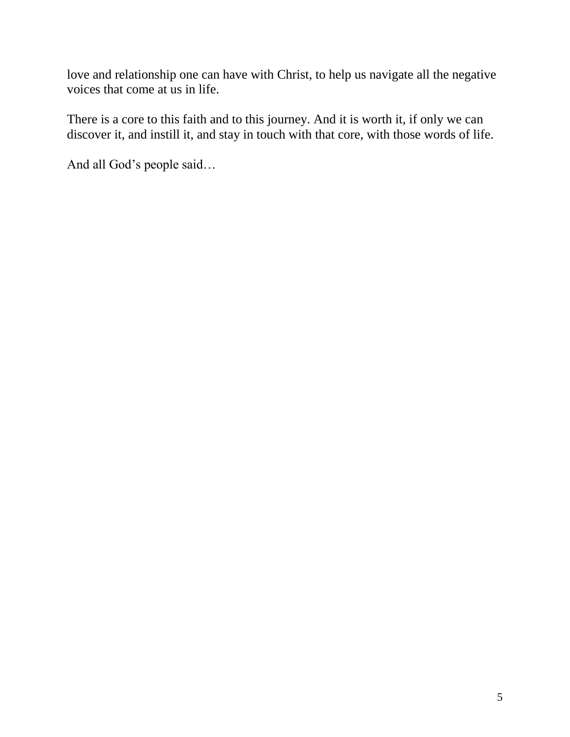love and relationship one can have with Christ, to help us navigate all the negative voices that come at us in life.

There is a core to this faith and to this journey. And it is worth it, if only we can discover it, and instill it, and stay in touch with that core, with those words of life.

And all God's people said…